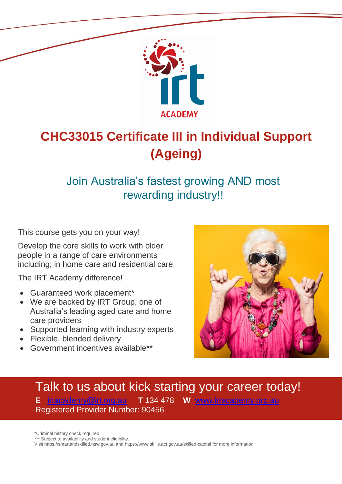

# **CHC33015 Certificate III in Individual Support (Ageing)**

# Join Australia's fastest growing AND most rewarding industry!!

This course gets you on your way!

Develop the core skills to work with older people in a range of care environments including; in home care and residential care.

The IRT Academy difference!

- Guaranteed work placement\*
- We are backed by IRT Group, one of Australia's leading aged care and home care providers
- Supported learning with industry experts
- Flexible, blended delivery
- Government incentives available\*\*



## Talk to us about kick starting your career today! **E** [irtacademy@irt.org.au](mailto:irtacademy@irt.org.au) **T** 134 478 **W** [www.irtacademy.org.au](http://www.irtacademy.org.au/) Registered Provider Number: 90456

\*Criminal history check required

\*\*\* Subject to availability and student eligibility.

Visit https://smartandskilled.nsw.gov.au and https://www.skills.act.gov.au/skilled-capital for more information.